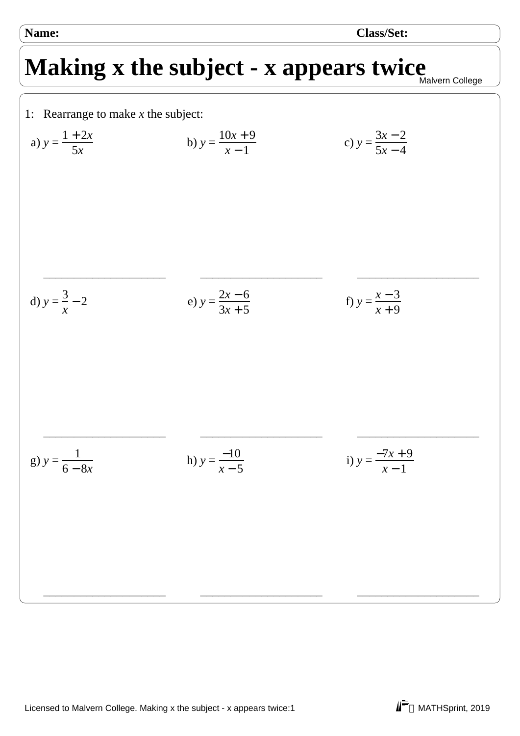**Name: Class/Set:**

## Making x the subject - x appears twice Malvern College

1: Rearrange to make  $x$  the subject:  $y =$  $1 + 2x$ 5*x* \_\_\_\_\_\_\_\_\_\_\_\_\_\_\_\_\_\_\_\_ a)  $y = \frac{1 + 2x}{5}$  b)  $y =$  $10x + 9$ *x* − 1 \_\_\_\_\_\_\_\_\_\_\_\_\_\_\_\_\_\_\_\_ b)  $y = \frac{10x + 7}{1}$  c)  $y =$ 3*x* − 2  $5x - 4$ \_\_\_\_\_\_\_\_\_\_\_\_\_\_\_\_\_\_\_\_ c)  $y =$ 3 *x* d)  $y = -2$  e)  $y =$ \_\_\_\_\_\_\_\_\_\_\_\_\_\_\_\_\_\_\_\_  $2x - 6$  $3x + 5$ \_\_\_\_\_\_\_\_\_\_\_\_\_\_\_\_\_\_\_\_ e)  $y = \frac{2x-6}{2x-5}$  f)  $y =$ *x* − 3 *x* + 9 \_\_\_\_\_\_\_\_\_\_\_\_\_\_\_\_\_\_\_\_ f)  $y =$ 1 6 − 8*x* \_\_\_\_\_\_\_\_\_\_\_\_\_\_\_\_\_\_\_\_ g)  $y = \frac{1}{6a}$  h)  $y =$ −10 *x* − 5 \_\_\_\_\_\_\_\_\_\_\_\_\_\_\_\_\_\_\_\_ h)  $y = \frac{-10}{5}$  i)  $y =$  $-7x + 9$ *x* − 1 \_\_\_\_\_\_\_\_\_\_\_\_\_\_\_\_\_\_\_\_ i)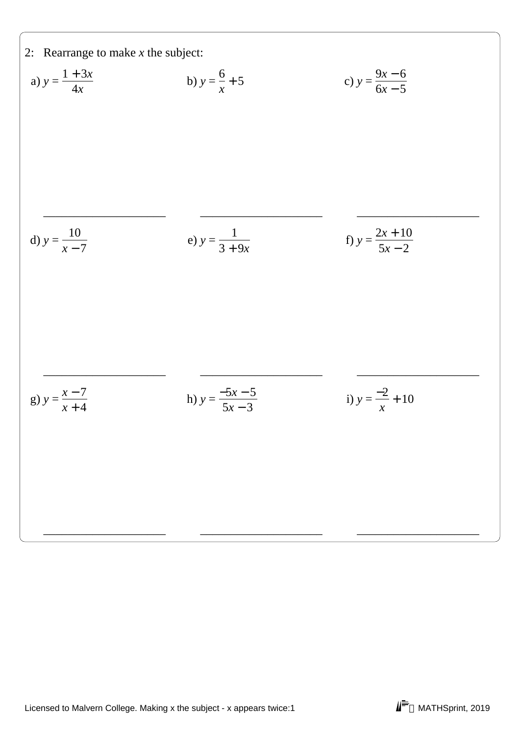2: Rearrange to make *x* the subject:  
\na) 
$$
y = \frac{1 + 3x}{4x}
$$
 \nb)  $y = \frac{6}{x} + 5$  \nc)  $y = \frac{9x - 6}{6x - 5}$   
\nd)  $y = \frac{10}{x - 7}$  \ne)  $y = \frac{1}{3 + 9x}$  \nf)  $y = \frac{2x + 10}{5x - 2}$   
\ng)  $y = \frac{x - 7}{x + 4}$  \nh)  $y = \frac{-5x - 5}{5x - 3}$  \ni)  $y = \frac{-2}{x} + 10$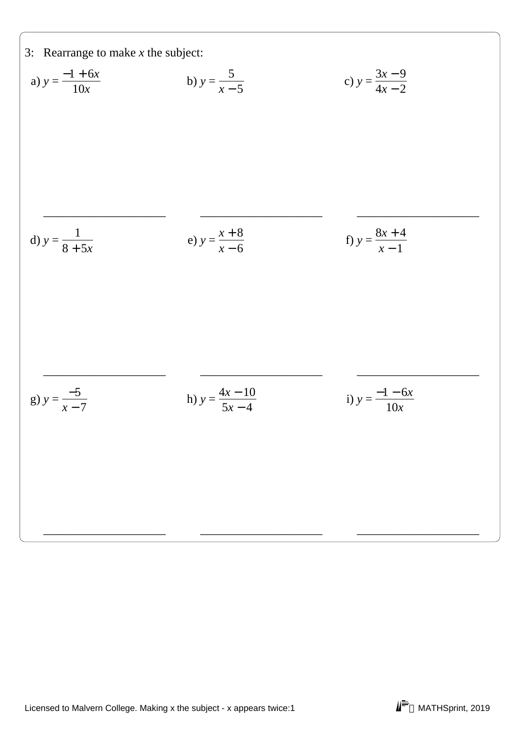3: Rearrange to make *x* the subject:  
\na) 
$$
y = \frac{-1 + 6x}{10x}
$$
  
\nb)  $y = \frac{5}{x - 5}$   
\nc)  $y = \frac{3x - 9}{4x - 2}$   
\nd)  $y = \frac{1}{8 + 5x}$   
\ne)  $y = \frac{x + 8}{x - 6}$   
\nf)  $y = \frac{8x + 4}{x - 1}$   
\ng)  $y = \frac{-5}{x - 7}$   
\nh)  $y = \frac{4x - 10}{5x - 4}$   
\ni)  $y = \frac{-1 - 6x}{10x}$